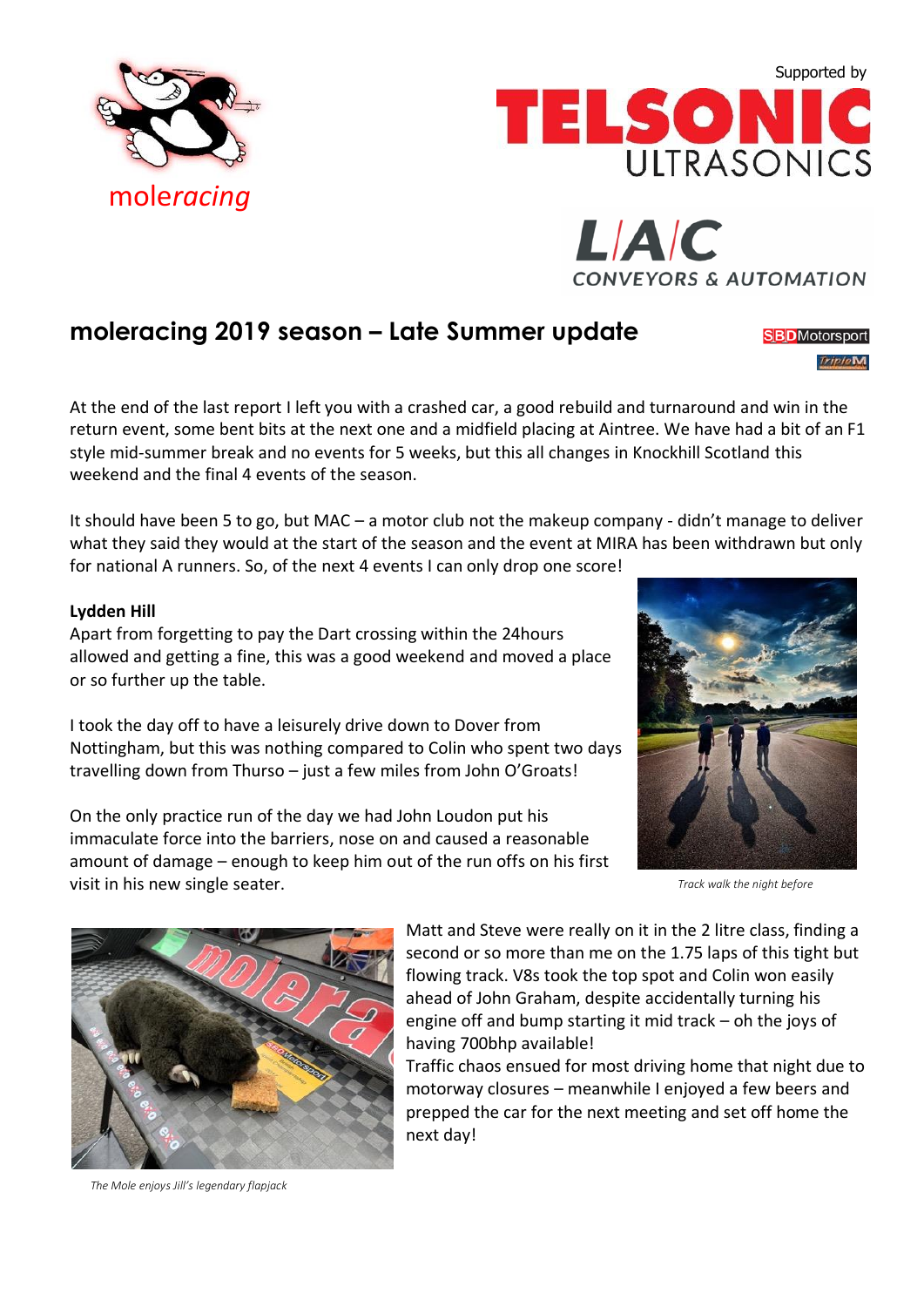





## **moleracing 2019 season – Late Summer update**

**SBD** Motorsport **TripleM** 

At the end of the last report I left you with a crashed car, a good rebuild and turnaround and win in the return event, some bent bits at the next one and a midfield placing at Aintree. We have had a bit of an F1 style mid-summer break and no events for 5 weeks, but this all changes in Knockhill Scotland this weekend and the final 4 events of the season.

It should have been 5 to go, but MAC – a motor club not the makeup company - didn't manage to deliver what they said they would at the start of the season and the event at MIRA has been withdrawn but only for national A runners. So, of the next 4 events I can only drop one score!

## **Lydden Hill**

Apart from forgetting to pay the Dart crossing within the 24hours allowed and getting a fine, this was a good weekend and moved a place or so further up the table.

I took the day off to have a leisurely drive down to Dover from Nottingham, but this was nothing compared to Colin who spent two days travelling down from Thurso – just a few miles from John O'Groats!

On the only practice run of the day we had John Loudon put his immaculate force into the barriers, nose on and caused a reasonable amount of damage – enough to keep him out of the run offs on his first visit in his new single seater.



*Track walk the night before*



*The Mole enjoys Jill's legendary flapjack*

Matt and Steve were really on it in the 2 litre class, finding a second or so more than me on the 1.75 laps of this tight but flowing track. V8s took the top spot and Colin won easily ahead of John Graham, despite accidentally turning his engine off and bump starting it mid track – oh the joys of having 700bhp available!

Traffic chaos ensued for most driving home that night due to motorway closures – meanwhile I enjoyed a few beers and prepped the car for the next meeting and set off home the next day!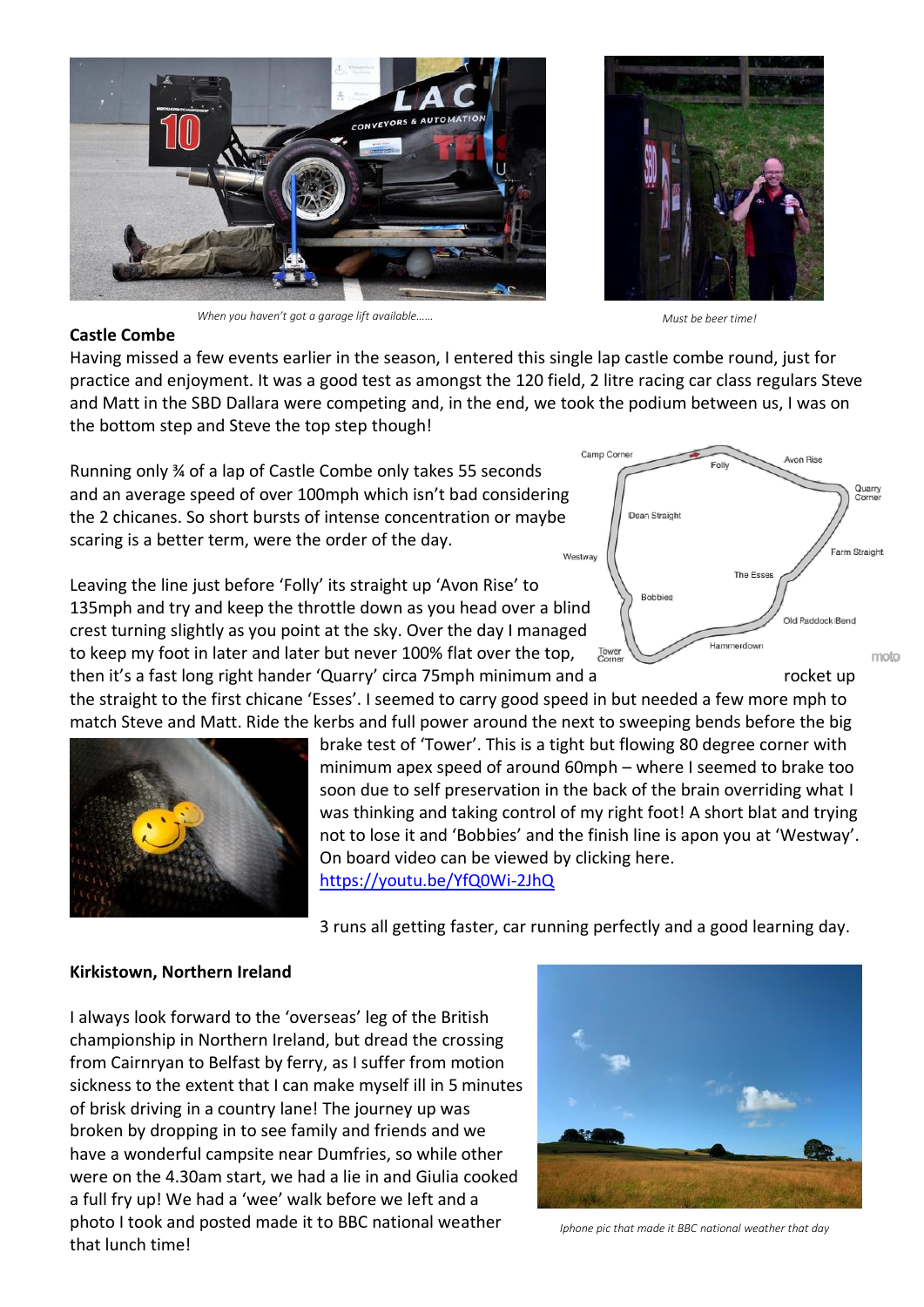

*When you haven't got a garage lift available…… Must be beer time!*



## **Castle Combe**

Having missed a few events earlier in the season, I entered this single lap castle combe round, just for practice and enjoyment. It was a good test as amongst the 120 field, 2 litre racing car class regulars Steve and Matt in the SBD Dallara were competing and, in the end, we took the podium between us, I was on the bottom step and Steve the top step though!

Running only ¾ of a lap of Castle Combe only takes 55 seconds and an average speed of over 100mph which isn't bad considering the 2 chicanes. So short bursts of intense concentration or maybe scaring is a better term, were the order of the day.

Leaving the line just before 'Folly' its straight up 'Avon Rise' to 135mph and try and keep the throttle down as you head over a blind crest turning slightly as you point at the sky. Over the day I managed to keep my foot in later and later but never 100% flat over the top, then it's a fast long right hander 'Quarry' circa 75mph minimum and a rocket up

the straight to the first chicane 'Esses'. I seemed to carry good speed in but needed a few more mph to match Steve and Matt. Ride the kerbs and full power around the next to sweeping bends before the big



brake test of 'Tower'. This is a tight but flowing 80 degree corner with minimum apex speed of around 60mph – where I seemed to brake too soon due to self preservation in the back of the brain overriding what I was thinking and taking control of my right foot! A short blat and trying not to lose it and 'Bobbies' and the finish line is apon you at 'Westway'. On board video can be viewed by clicking here. <https://youtu.be/YfQ0Wi-2JhQ>

3 runs all getting faster, car running perfectly and a good learning day.

## **Kirkistown, Northern Ireland**

I always look forward to the 'overseas' leg of the British championship in Northern Ireland, but dread the crossing from Cairnryan to Belfast by ferry, as I suffer from motion sickness to the extent that I can make myself ill in 5 minutes of brisk driving in a country lane! The journey up was broken by dropping in to see family and friends and we have a wonderful campsite near Dumfries, so while other were on the 4.30am start, we had a lie in and Giulia cooked a full fry up! We had a 'wee' walk before we left and a photo I took and posted made it to BBC national weather that lunch time!



*Iphone pic that made it BBC national weather that day*

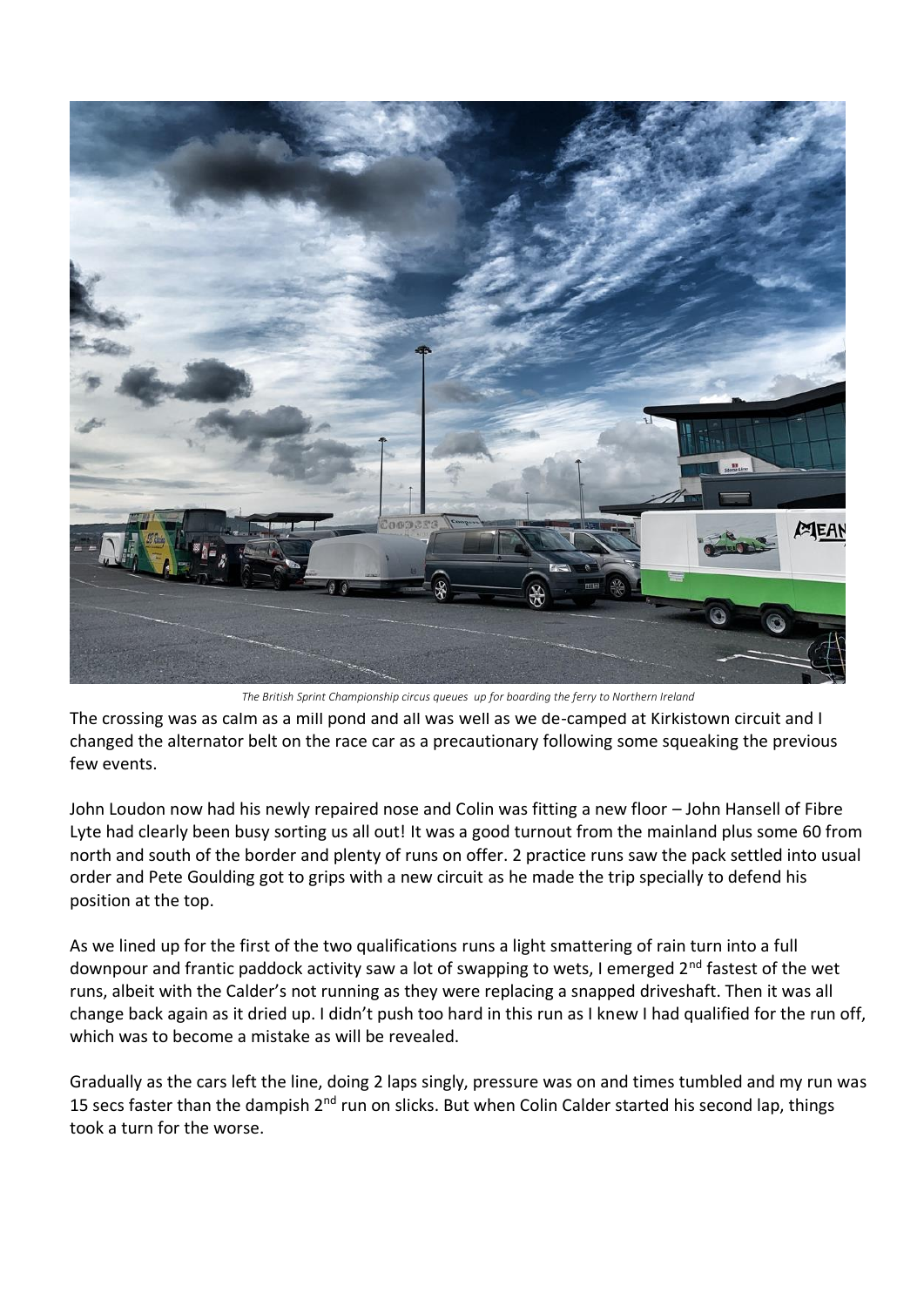

*The British Sprint Championship circus queues up for boarding the ferry to Northern Ireland*

The crossing was as calm as a mill pond and all was well as we de-camped at Kirkistown circuit and I changed the alternator belt on the race car as a precautionary following some squeaking the previous few events.

John Loudon now had his newly repaired nose and Colin was fitting a new floor – John Hansell of Fibre Lyte had clearly been busy sorting us all out! It was a good turnout from the mainland plus some 60 from north and south of the border and plenty of runs on offer. 2 practice runs saw the pack settled into usual order and Pete Goulding got to grips with a new circuit as he made the trip specially to defend his position at the top.

As we lined up for the first of the two qualifications runs a light smattering of rain turn into a full downpour and frantic paddock activity saw a lot of swapping to wets, I emerged 2<sup>nd</sup> fastest of the wet runs, albeit with the Calder's not running as they were replacing a snapped driveshaft. Then it was all change back again as it dried up. I didn't push too hard in this run as I knew I had qualified for the run off, which was to become a mistake as will be revealed.

Gradually as the cars left the line, doing 2 laps singly, pressure was on and times tumbled and my run was 15 secs faster than the dampish 2<sup>nd</sup> run on slicks. But when Colin Calder started his second lap, things took a turn for the worse.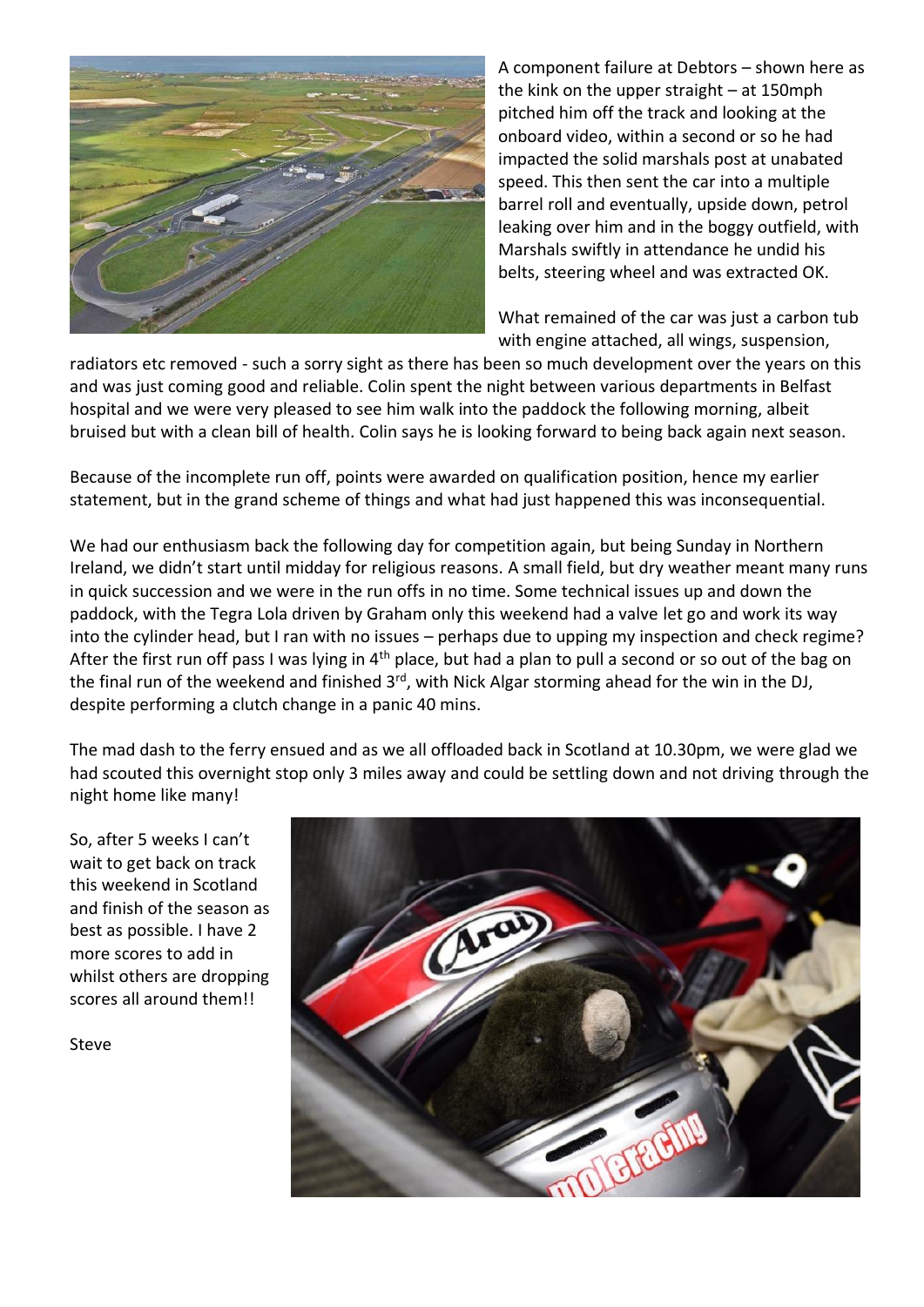

A component failure at Debtors – shown here as the kink on the upper straight – at 150mph pitched him off the track and looking at the onboard video, within a second or so he had impacted the solid marshals post at unabated speed. This then sent the car into a multiple barrel roll and eventually, upside down, petrol leaking over him and in the boggy outfield, with Marshals swiftly in attendance he undid his belts, steering wheel and was extracted OK.

What remained of the car was just a carbon tub with engine attached, all wings, suspension,

radiators etc removed - such a sorry sight as there has been so much development over the years on this and was just coming good and reliable. Colin spent the night between various departments in Belfast hospital and we were very pleased to see him walk into the paddock the following morning, albeit bruised but with a clean bill of health. Colin says he is looking forward to being back again next season.

Because of the incomplete run off, points were awarded on qualification position, hence my earlier statement, but in the grand scheme of things and what had just happened this was inconsequential.

We had our enthusiasm back the following day for competition again, but being Sunday in Northern Ireland, we didn't start until midday for religious reasons. A small field, but dry weather meant many runs in quick succession and we were in the run offs in no time. Some technical issues up and down the paddock, with the Tegra Lola driven by Graham only this weekend had a valve let go and work its way into the cylinder head, but I ran with no issues – perhaps due to upping my inspection and check regime? After the first run off pass I was lying in 4<sup>th</sup> place, but had a plan to pull a second or so out of the bag on the final run of the weekend and finished 3<sup>rd</sup>, with Nick Algar storming ahead for the win in the DJ, despite performing a clutch change in a panic 40 mins.

The mad dash to the ferry ensued and as we all offloaded back in Scotland at 10.30pm, we were glad we had scouted this overnight stop only 3 miles away and could be settling down and not driving through the night home like many!

So, after 5 weeks I can't wait to get back on track this weekend in Scotland and finish of the season as best as possible. I have 2 more scores to add in whilst others are dropping scores all around them!!

Steve